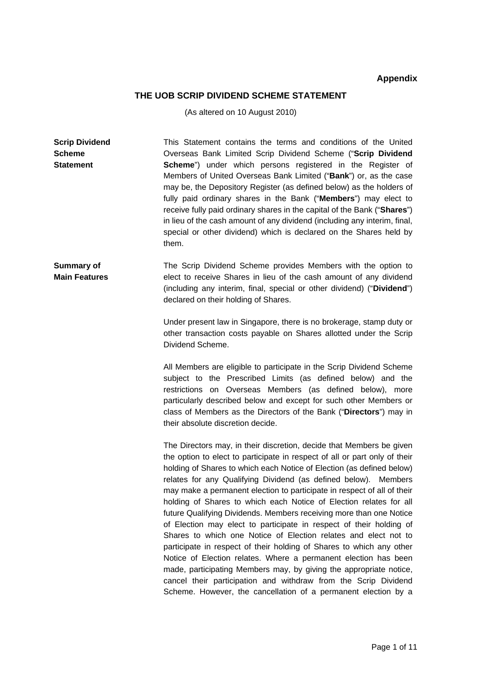# **Appendix**

## **THE UOB SCRIP DIVIDEND SCHEME STATEMENT**

(As altered on 10 August 2010)

| <b>Scrip Dividend</b><br><b>Scheme</b><br><b>Statement</b> | This Statement contains the terms and conditions of the United<br>Overseas Bank Limited Scrip Dividend Scheme ("Scrip Dividend<br>Scheme") under which persons registered in the Register of<br>Members of United Overseas Bank Limited ("Bank") or, as the case<br>may be, the Depository Register (as defined below) as the holders of<br>fully paid ordinary shares in the Bank ("Members") may elect to<br>receive fully paid ordinary shares in the capital of the Bank ("Shares")<br>in lieu of the cash amount of any dividend (including any interim, final,<br>special or other dividend) which is declared on the Shares held by<br>them.                                                                                                                                                                                                                                                                                                  |
|------------------------------------------------------------|------------------------------------------------------------------------------------------------------------------------------------------------------------------------------------------------------------------------------------------------------------------------------------------------------------------------------------------------------------------------------------------------------------------------------------------------------------------------------------------------------------------------------------------------------------------------------------------------------------------------------------------------------------------------------------------------------------------------------------------------------------------------------------------------------------------------------------------------------------------------------------------------------------------------------------------------------|
| <b>Summary of</b><br><b>Main Features</b>                  | The Scrip Dividend Scheme provides Members with the option to<br>elect to receive Shares in lieu of the cash amount of any dividend<br>(including any interim, final, special or other dividend) ("Dividend")<br>declared on their holding of Shares.                                                                                                                                                                                                                                                                                                                                                                                                                                                                                                                                                                                                                                                                                                |
|                                                            | Under present law in Singapore, there is no brokerage, stamp duty or<br>other transaction costs payable on Shares allotted under the Scrip<br>Dividend Scheme.                                                                                                                                                                                                                                                                                                                                                                                                                                                                                                                                                                                                                                                                                                                                                                                       |
|                                                            | All Members are eligible to participate in the Scrip Dividend Scheme<br>subject to the Prescribed Limits (as defined below) and the<br>restrictions on Overseas Members (as defined below), more<br>particularly described below and except for such other Members or<br>class of Members as the Directors of the Bank ("Directors") may in<br>their absolute discretion decide.                                                                                                                                                                                                                                                                                                                                                                                                                                                                                                                                                                     |
|                                                            | The Directors may, in their discretion, decide that Members be given<br>the option to elect to participate in respect of all or part only of their<br>holding of Shares to which each Notice of Election (as defined below)<br>relates for any Qualifying Dividend (as defined below). Members<br>may make a permanent election to participate in respect of all of their<br>holding of Shares to which each Notice of Election relates for all<br>future Qualifying Dividends. Members receiving more than one Notice<br>of Election may elect to participate in respect of their holding of<br>Shares to which one Notice of Election relates and elect not to<br>participate in respect of their holding of Shares to which any other<br>Notice of Election relates. Where a permanent election has been<br>made, participating Members may, by giving the appropriate notice,<br>cancel their participation and withdraw from the Scrip Dividend |

Scheme. However, the cancellation of a permanent election by a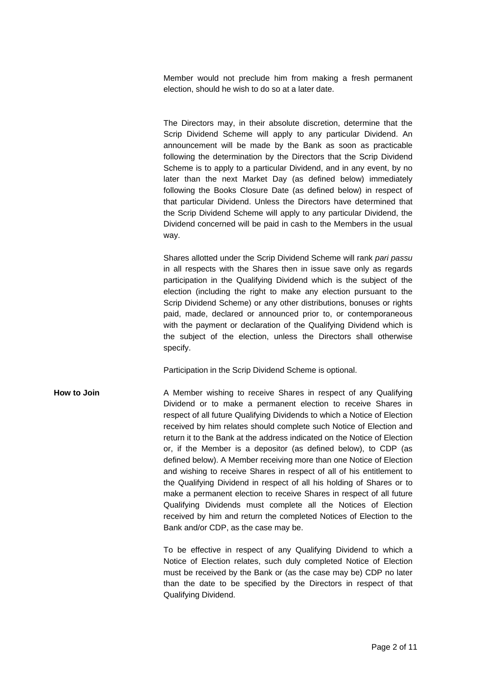Member would not preclude him from making a fresh permanent election, should he wish to do so at a later date.

The Directors may, in their absolute discretion, determine that the Scrip Dividend Scheme will apply to any particular Dividend. An announcement will be made by the Bank as soon as practicable following the determination by the Directors that the Scrip Dividend Scheme is to apply to a particular Dividend, and in any event, by no later than the next Market Day (as defined below) immediately following the Books Closure Date (as defined below) in respect of that particular Dividend. Unless the Directors have determined that the Scrip Dividend Scheme will apply to any particular Dividend, the Dividend concerned will be paid in cash to the Members in the usual way.

Shares allotted under the Scrip Dividend Scheme will rank *pari passu* in all respects with the Shares then in issue save only as regards participation in the Qualifying Dividend which is the subject of the election (including the right to make any election pursuant to the Scrip Dividend Scheme) or any other distributions, bonuses or rights paid, made, declared or announced prior to, or contemporaneous with the payment or declaration of the Qualifying Dividend which is the subject of the election, unless the Directors shall otherwise specify.

Participation in the Scrip Dividend Scheme is optional.

**How to Join A Member wishing to receive Shares in respect of any Qualifying** Dividend or to make a permanent election to receive Shares in respect of all future Qualifying Dividends to which a Notice of Election received by him relates should complete such Notice of Election and return it to the Bank at the address indicated on the Notice of Election or, if the Member is a depositor (as defined below), to CDP (as defined below). A Member receiving more than one Notice of Election and wishing to receive Shares in respect of all of his entitlement to the Qualifying Dividend in respect of all his holding of Shares or to make a permanent election to receive Shares in respect of all future Qualifying Dividends must complete all the Notices of Election received by him and return the completed Notices of Election to the Bank and/or CDP, as the case may be.

> To be effective in respect of any Qualifying Dividend to which a Notice of Election relates, such duly completed Notice of Election must be received by the Bank or (as the case may be) CDP no later than the date to be specified by the Directors in respect of that Qualifying Dividend.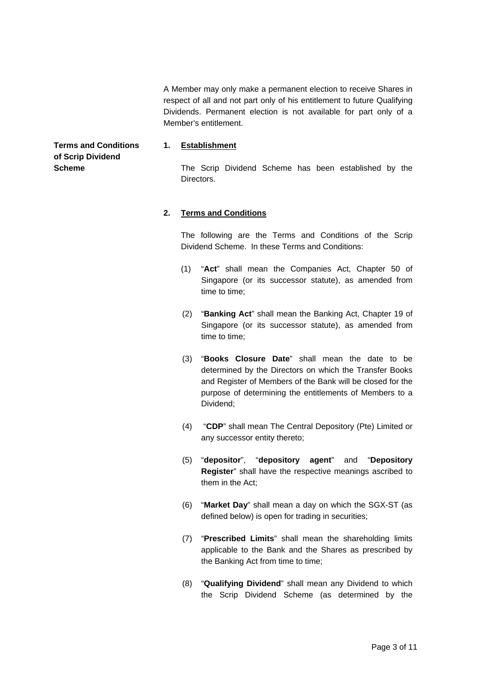A Member may only make a permanent election to receive Shares in respect of all and not part only of his entitlement to future Qualifying Dividends. Permanent election is not available for part only of a Member's entitlement.

# **1. Establishment**

The Scrip Dividend Scheme has been established by the Directors.

## **2. Terms and Conditions**

The following are the Terms and Conditions of the Scrip Dividend Scheme. In these Terms and Conditions:

- (1) "**Act**" shall mean the Companies Act, Chapter 50 of Singapore (or its successor statute), as amended from time to time;
- (2) "**Banking Act**" shall mean the Banking Act, Chapter 19 of Singapore (or its successor statute), as amended from time to time;
- (3) "**Books Closure Date**" shall mean the date to be determined by the Directors on which the Transfer Books and Register of Members of the Bank will be closed for the purpose of determining the entitlements of Members to a Dividend;
- (4) "**CDP**" shall mean The Central Depository (Pte) Limited or any successor entity thereto;
- (5) "**depositor**", "**depository agent**" and "**Depository Register**" shall have the respective meanings ascribed to them in the Act;
- (6) "**Market Day**" shall mean a day on which the SGX-ST (as defined below) is open for trading in securities;
- (7) "**Prescribed Limits**" shall mean the shareholding limits applicable to the Bank and the Shares as prescribed by the Banking Act from time to time;
- (8) "**Qualifying Dividend**" shall mean any Dividend to which the Scrip Dividend Scheme (as determined by the

**Terms and Conditions of Scrip Dividend Scheme**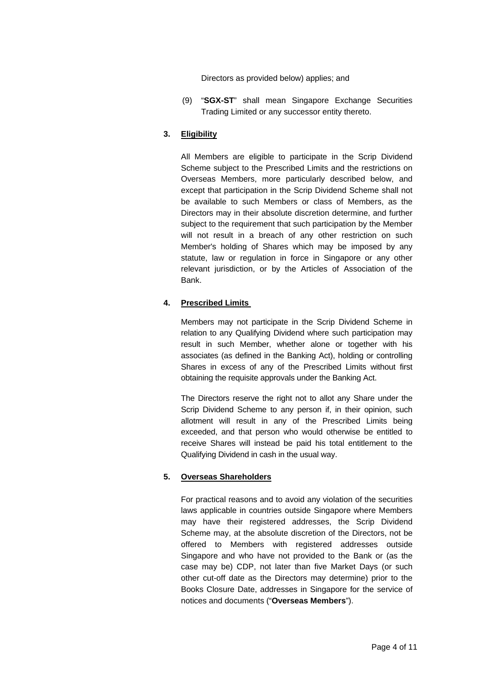Directors as provided below) applies; and

 (9) "**SGX-ST**" shall mean Singapore Exchange Securities Trading Limited or any successor entity thereto.

## **3. Eligibility**

All Members are eligible to participate in the Scrip Dividend Scheme subject to the Prescribed Limits and the restrictions on Overseas Members, more particularly described below, and except that participation in the Scrip Dividend Scheme shall not be available to such Members or class of Members, as the Directors may in their absolute discretion determine, and further subject to the requirement that such participation by the Member will not result in a breach of any other restriction on such Member's holding of Shares which may be imposed by any statute, law or regulation in force in Singapore or any other relevant jurisdiction, or by the Articles of Association of the Bank.

## **4. Prescribed Limits**

Members may not participate in the Scrip Dividend Scheme in relation to any Qualifying Dividend where such participation may result in such Member, whether alone or together with his associates (as defined in the Banking Act), holding or controlling Shares in excess of any of the Prescribed Limits without first obtaining the requisite approvals under the Banking Act.

The Directors reserve the right not to allot any Share under the Scrip Dividend Scheme to any person if, in their opinion, such allotment will result in any of the Prescribed Limits being exceeded, and that person who would otherwise be entitled to receive Shares will instead be paid his total entitlement to the Qualifying Dividend in cash in the usual way.

#### **5. Overseas Shareholders**

For practical reasons and to avoid any violation of the securities laws applicable in countries outside Singapore where Members may have their registered addresses, the Scrip Dividend Scheme may, at the absolute discretion of the Directors, not be offered to Members with registered addresses outside Singapore and who have not provided to the Bank or (as the case may be) CDP, not later than five Market Days (or such other cut-off date as the Directors may determine) prior to the Books Closure Date, addresses in Singapore for the service of notices and documents ("**Overseas Members**").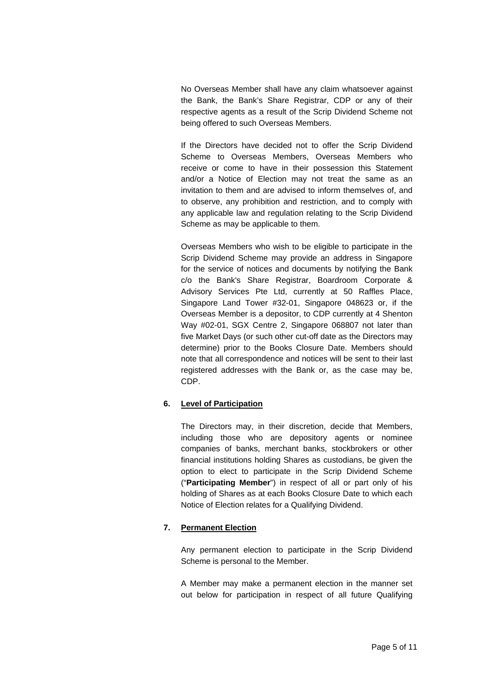No Overseas Member shall have any claim whatsoever against the Bank, the Bank's Share Registrar, CDP or any of their respective agents as a result of the Scrip Dividend Scheme not being offered to such Overseas Members.

If the Directors have decided not to offer the Scrip Dividend Scheme to Overseas Members, Overseas Members who receive or come to have in their possession this Statement and/or a Notice of Election may not treat the same as an invitation to them and are advised to inform themselves of, and to observe, any prohibition and restriction, and to comply with any applicable law and regulation relating to the Scrip Dividend Scheme as may be applicable to them.

Overseas Members who wish to be eligible to participate in the Scrip Dividend Scheme may provide an address in Singapore for the service of notices and documents by notifying the Bank c/o the Bank's Share Registrar, Boardroom Corporate & Advisory Services Pte Ltd, currently at 50 Raffles Place, Singapore Land Tower #32-01, Singapore 048623 or, if the Overseas Member is a depositor, to CDP currently at 4 Shenton Way #02-01, SGX Centre 2, Singapore 068807 not later than five Market Days (or such other cut-off date as the Directors may determine) prior to the Books Closure Date. Members should note that all correspondence and notices will be sent to their last registered addresses with the Bank or, as the case may be, CDP.

## **6. Level of Participation**

The Directors may, in their discretion, decide that Members, including those who are depository agents or nominee companies of banks, merchant banks, stockbrokers or other financial institutions holding Shares as custodians, be given the option to elect to participate in the Scrip Dividend Scheme ("**Participating Member**") in respect of all or part only of his holding of Shares as at each Books Closure Date to which each Notice of Election relates for a Qualifying Dividend.

## **7. Permanent Election**

Any permanent election to participate in the Scrip Dividend Scheme is personal to the Member.

A Member may make a permanent election in the manner set out below for participation in respect of all future Qualifying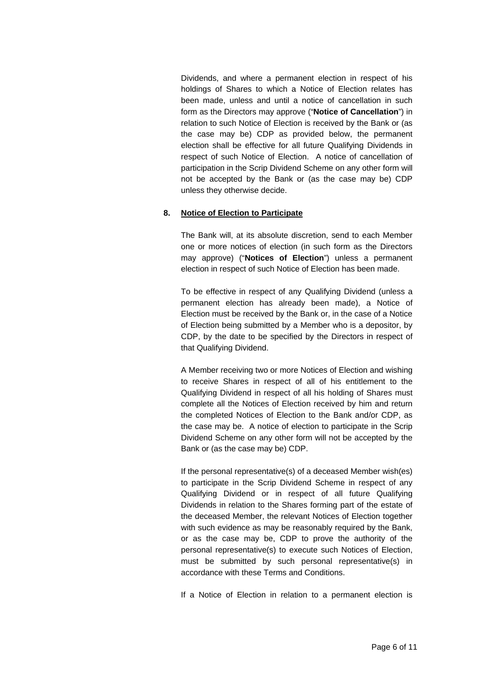Dividends, and where a permanent election in respect of his holdings of Shares to which a Notice of Election relates has been made, unless and until a notice of cancellation in such form as the Directors may approve ("**Notice of Cancellation**") in relation to such Notice of Election is received by the Bank or (as the case may be) CDP as provided below, the permanent election shall be effective for all future Qualifying Dividends in respect of such Notice of Election. A notice of cancellation of participation in the Scrip Dividend Scheme on any other form will not be accepted by the Bank or (as the case may be) CDP unless they otherwise decide.

#### **8. Notice of Election to Participate**

The Bank will, at its absolute discretion, send to each Member one or more notices of election (in such form as the Directors may approve) ("**Notices of Election**") unless a permanent election in respect of such Notice of Election has been made.

To be effective in respect of any Qualifying Dividend (unless a permanent election has already been made), a Notice of Election must be received by the Bank or, in the case of a Notice of Election being submitted by a Member who is a depositor, by CDP, by the date to be specified by the Directors in respect of that Qualifying Dividend.

A Member receiving two or more Notices of Election and wishing to receive Shares in respect of all of his entitlement to the Qualifying Dividend in respect of all his holding of Shares must complete all the Notices of Election received by him and return the completed Notices of Election to the Bank and/or CDP, as the case may be. A notice of election to participate in the Scrip Dividend Scheme on any other form will not be accepted by the Bank or (as the case may be) CDP.

If the personal representative(s) of a deceased Member wish(es) to participate in the Scrip Dividend Scheme in respect of any Qualifying Dividend or in respect of all future Qualifying Dividends in relation to the Shares forming part of the estate of the deceased Member, the relevant Notices of Election together with such evidence as may be reasonably required by the Bank, or as the case may be, CDP to prove the authority of the personal representative(s) to execute such Notices of Election, must be submitted by such personal representative(s) in accordance with these Terms and Conditions.

If a Notice of Election in relation to a permanent election is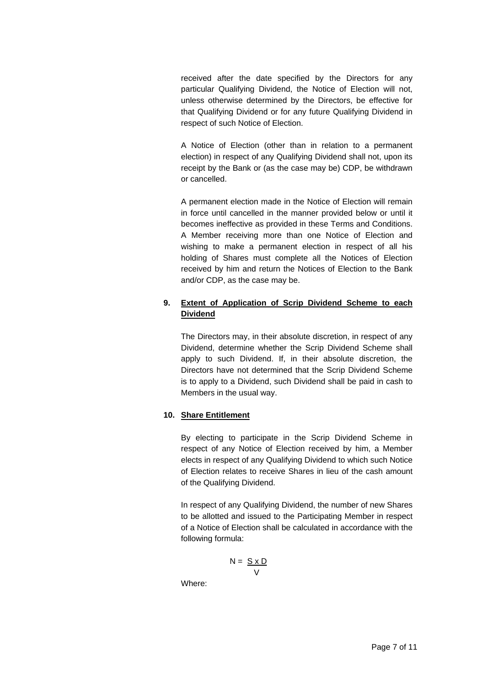received after the date specified by the Directors for any particular Qualifying Dividend, the Notice of Election will not, unless otherwise determined by the Directors, be effective for that Qualifying Dividend or for any future Qualifying Dividend in respect of such Notice of Election.

A Notice of Election (other than in relation to a permanent election) in respect of any Qualifying Dividend shall not, upon its receipt by the Bank or (as the case may be) CDP, be withdrawn or cancelled.

A permanent election made in the Notice of Election will remain in force until cancelled in the manner provided below or until it becomes ineffective as provided in these Terms and Conditions. A Member receiving more than one Notice of Election and wishing to make a permanent election in respect of all his holding of Shares must complete all the Notices of Election received by him and return the Notices of Election to the Bank and/or CDP, as the case may be.

## **9. Extent of Application of Scrip Dividend Scheme to each Dividend**

The Directors may, in their absolute discretion, in respect of any Dividend, determine whether the Scrip Dividend Scheme shall apply to such Dividend. If, in their absolute discretion, the Directors have not determined that the Scrip Dividend Scheme is to apply to a Dividend, such Dividend shall be paid in cash to Members in the usual way.

## **10. Share Entitlement**

 By electing to participate in the Scrip Dividend Scheme in respect of any Notice of Election received by him, a Member elects in respect of any Qualifying Dividend to which such Notice of Election relates to receive Shares in lieu of the cash amount of the Qualifying Dividend.

In respect of any Qualifying Dividend, the number of new Shares to be allotted and issued to the Participating Member in respect of a Notice of Election shall be calculated in accordance with the following formula:

$$
N = \frac{S \times D}{V}
$$

Where: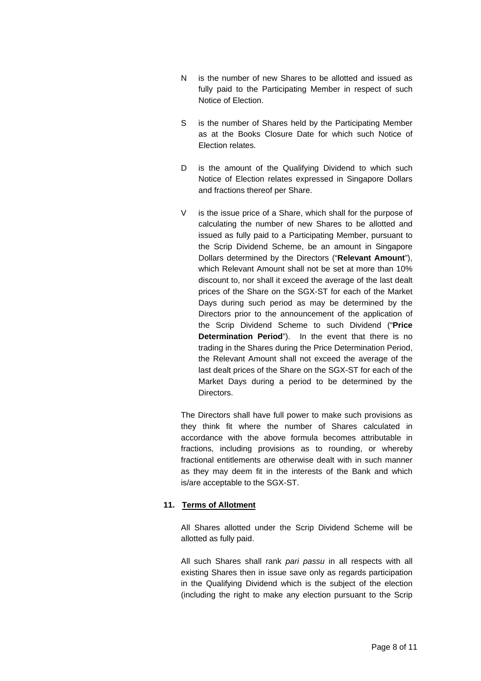- N is the number of new Shares to be allotted and issued as fully paid to the Participating Member in respect of such Notice of Election.
- S is the number of Shares held by the Participating Member as at the Books Closure Date for which such Notice of Election relates.
- D is the amount of the Qualifying Dividend to which such Notice of Election relates expressed in Singapore Dollars and fractions thereof per Share.
- V is the issue price of a Share, which shall for the purpose of calculating the number of new Shares to be allotted and issued as fully paid to a Participating Member, pursuant to the Scrip Dividend Scheme, be an amount in Singapore Dollars determined by the Directors ("**Relevant Amount**"), which Relevant Amount shall not be set at more than 10% discount to, nor shall it exceed the average of the last dealt prices of the Share on the SGX-ST for each of the Market Days during such period as may be determined by the Directors prior to the announcement of the application of the Scrip Dividend Scheme to such Dividend ("**Price Determination Period**"). In the event that there is no trading in the Shares during the Price Determination Period, the Relevant Amount shall not exceed the average of the last dealt prices of the Share on the SGX-ST for each of the Market Days during a period to be determined by the Directors.

The Directors shall have full power to make such provisions as they think fit where the number of Shares calculated in accordance with the above formula becomes attributable in fractions, including provisions as to rounding, or whereby fractional entitlements are otherwise dealt with in such manner as they may deem fit in the interests of the Bank and which is/are acceptable to the SGX-ST.

#### **11. Terms of Allotment**

All Shares allotted under the Scrip Dividend Scheme will be allotted as fully paid.

All such Shares shall rank *pari passu* in all respects with all existing Shares then in issue save only as regards participation in the Qualifying Dividend which is the subject of the election (including the right to make any election pursuant to the Scrip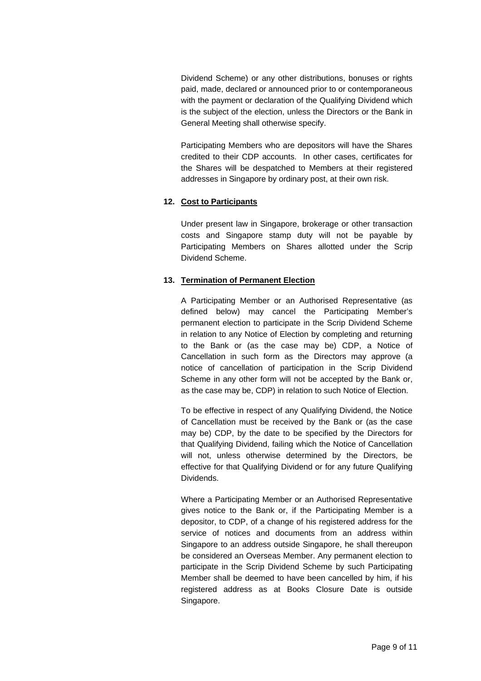Dividend Scheme) or any other distributions, bonuses or rights paid, made, declared or announced prior to or contemporaneous with the payment or declaration of the Qualifying Dividend which is the subject of the election, unless the Directors or the Bank in General Meeting shall otherwise specify.

Participating Members who are depositors will have the Shares credited to their CDP accounts. In other cases, certificates for the Shares will be despatched to Members at their registered addresses in Singapore by ordinary post, at their own risk.

## **12. Cost to Participants**

Under present law in Singapore, brokerage or other transaction costs and Singapore stamp duty will not be payable by Participating Members on Shares allotted under the Scrip Dividend Scheme.

## **13. Termination of Permanent Election**

A Participating Member or an Authorised Representative (as defined below) may cancel the Participating Member's permanent election to participate in the Scrip Dividend Scheme in relation to any Notice of Election by completing and returning to the Bank or (as the case may be) CDP, a Notice of Cancellation in such form as the Directors may approve (a notice of cancellation of participation in the Scrip Dividend Scheme in any other form will not be accepted by the Bank or, as the case may be, CDP) in relation to such Notice of Election.

To be effective in respect of any Qualifying Dividend, the Notice of Cancellation must be received by the Bank or (as the case may be) CDP, by the date to be specified by the Directors for that Qualifying Dividend, failing which the Notice of Cancellation will not, unless otherwise determined by the Directors, be effective for that Qualifying Dividend or for any future Qualifying Dividends.

Where a Participating Member or an Authorised Representative gives notice to the Bank or, if the Participating Member is a depositor, to CDP, of a change of his registered address for the service of notices and documents from an address within Singapore to an address outside Singapore, he shall thereupon be considered an Overseas Member. Any permanent election to participate in the Scrip Dividend Scheme by such Participating Member shall be deemed to have been cancelled by him, if his registered address as at Books Closure Date is outside Singapore.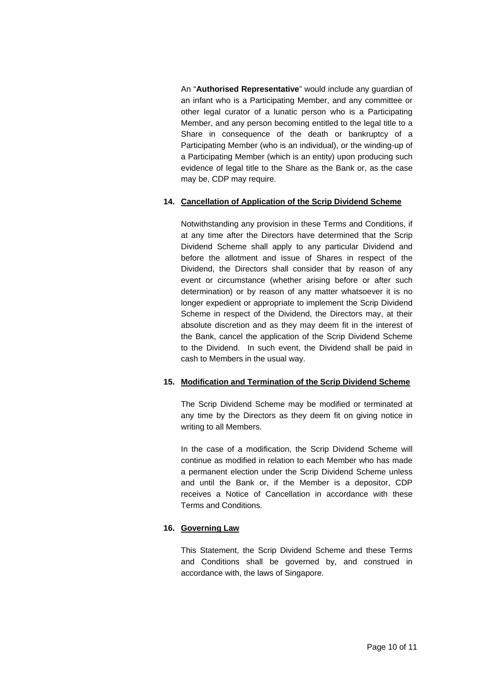An "**Authorised Representative**" would include any guardian of an infant who is a Participating Member, and any committee or other legal curator of a lunatic person who is a Participating Member, and any person becoming entitled to the legal title to a Share in consequence of the death or bankruptcy of a Participating Member (who is an individual), or the winding-up of a Participating Member (which is an entity) upon producing such evidence of legal title to the Share as the Bank or, as the case may be, CDP may require.

#### **14. Cancellation of Application of the Scrip Dividend Scheme**

Notwithstanding any provision in these Terms and Conditions, if at any time after the Directors have determined that the Scrip Dividend Scheme shall apply to any particular Dividend and before the allotment and issue of Shares in respect of the Dividend, the Directors shall consider that by reason of any event or circumstance (whether arising before or after such determination) or by reason of any matter whatsoever it is no longer expedient or appropriate to implement the Scrip Dividend Scheme in respect of the Dividend, the Directors may, at their absolute discretion and as they may deem fit in the interest of the Bank, cancel the application of the Scrip Dividend Scheme to the Dividend. In such event, the Dividend shall be paid in cash to Members in the usual way.

#### **15. Modification and Termination of the Scrip Dividend Scheme**

The Scrip Dividend Scheme may be modified or terminated at any time by the Directors as they deem fit on giving notice in writing to all Members.

In the case of a modification, the Scrip Dividend Scheme will continue as modified in relation to each Member who has made a permanent election under the Scrip Dividend Scheme unless and until the Bank or, if the Member is a depositor, CDP receives a Notice of Cancellation in accordance with these Terms and Conditions.

## **16. Governing Law**

This Statement, the Scrip Dividend Scheme and these Terms and Conditions shall be governed by, and construed in accordance with, the laws of Singapore.